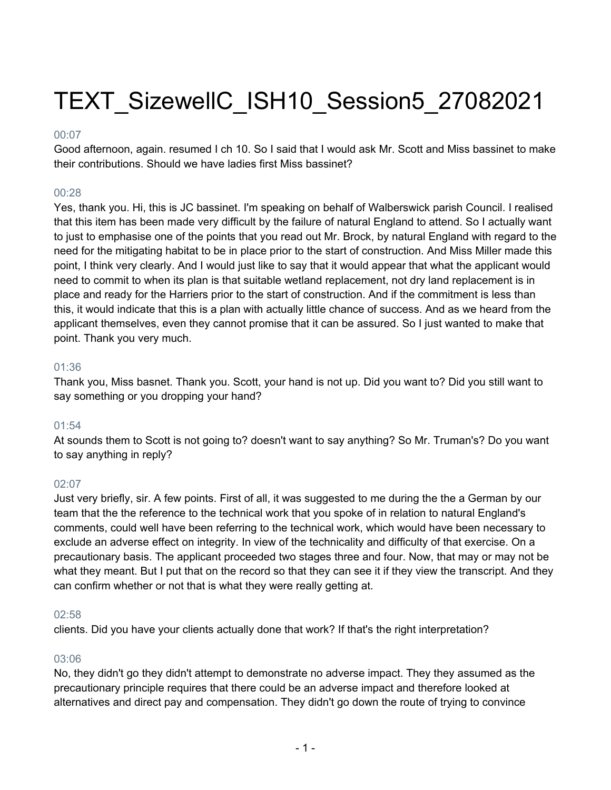# TEXT\_SizewellC\_ISH10\_Session5\_27082021

# 00:07

Good afternoon, again. resumed I ch 10. So I said that I would ask Mr. Scott and Miss bassinet to make their contributions. Should we have ladies first Miss bassinet?

# 00:28

Yes, thank you. Hi, this is JC bassinet. I'm speaking on behalf of Walberswick parish Council. I realised that this item has been made very difficult by the failure of natural England to attend. So I actually want to just to emphasise one of the points that you read out Mr. Brock, by natural England with regard to the need for the mitigating habitat to be in place prior to the start of construction. And Miss Miller made this point, I think very clearly. And I would just like to say that it would appear that what the applicant would need to commit to when its plan is that suitable wetland replacement, not dry land replacement is in place and ready for the Harriers prior to the start of construction. And if the commitment is less than this, it would indicate that this is a plan with actually little chance of success. And as we heard from the applicant themselves, even they cannot promise that it can be assured. So I just wanted to make that point. Thank you very much.

# 01:36

Thank you, Miss basnet. Thank you. Scott, your hand is not up. Did you want to? Did you still want to say something or you dropping your hand?

# 01:54

At sounds them to Scott is not going to? doesn't want to say anything? So Mr. Truman's? Do you want to say anything in reply?

# 02:07

Just very briefly, sir. A few points. First of all, it was suggested to me during the the a German by our team that the the reference to the technical work that you spoke of in relation to natural England's comments, could well have been referring to the technical work, which would have been necessary to exclude an adverse effect on integrity. In view of the technicality and difficulty of that exercise. On a precautionary basis. The applicant proceeded two stages three and four. Now, that may or may not be what they meant. But I put that on the record so that they can see it if they view the transcript. And they can confirm whether or not that is what they were really getting at.

# 02:58

clients. Did you have your clients actually done that work? If that's the right interpretation?

# 03:06

No, they didn't go they didn't attempt to demonstrate no adverse impact. They they assumed as the precautionary principle requires that there could be an adverse impact and therefore looked at alternatives and direct pay and compensation. They didn't go down the route of trying to convince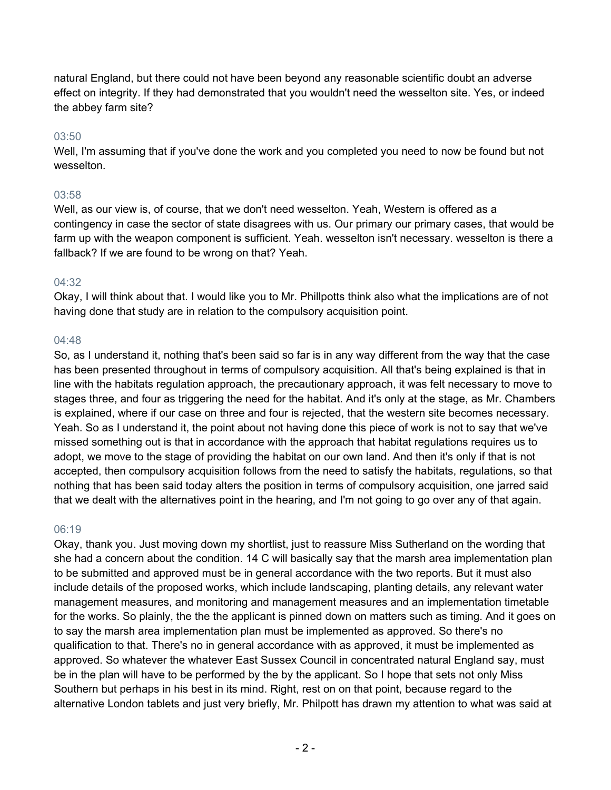natural England, but there could not have been beyond any reasonable scientific doubt an adverse effect on integrity. If they had demonstrated that you wouldn't need the wesselton site. Yes, or indeed the abbey farm site?

# 03:50

Well, I'm assuming that if you've done the work and you completed you need to now be found but not wesselton.

# 03:58

Well, as our view is, of course, that we don't need wesselton. Yeah, Western is offered as a contingency in case the sector of state disagrees with us. Our primary our primary cases, that would be farm up with the weapon component is sufficient. Yeah. wesselton isn't necessary. wesselton is there a fallback? If we are found to be wrong on that? Yeah.

# 04:32

Okay, I will think about that. I would like you to Mr. Phillpotts think also what the implications are of not having done that study are in relation to the compulsory acquisition point.

# 04:48

So, as I understand it, nothing that's been said so far is in any way different from the way that the case has been presented throughout in terms of compulsory acquisition. All that's being explained is that in line with the habitats regulation approach, the precautionary approach, it was felt necessary to move to stages three, and four as triggering the need for the habitat. And it's only at the stage, as Mr. Chambers is explained, where if our case on three and four is rejected, that the western site becomes necessary. Yeah. So as I understand it, the point about not having done this piece of work is not to say that we've missed something out is that in accordance with the approach that habitat regulations requires us to adopt, we move to the stage of providing the habitat on our own land. And then it's only if that is not accepted, then compulsory acquisition follows from the need to satisfy the habitats, regulations, so that nothing that has been said today alters the position in terms of compulsory acquisition, one jarred said that we dealt with the alternatives point in the hearing, and I'm not going to go over any of that again.

# 06:19

Okay, thank you. Just moving down my shortlist, just to reassure Miss Sutherland on the wording that she had a concern about the condition. 14 C will basically say that the marsh area implementation plan to be submitted and approved must be in general accordance with the two reports. But it must also include details of the proposed works, which include landscaping, planting details, any relevant water management measures, and monitoring and management measures and an implementation timetable for the works. So plainly, the the the applicant is pinned down on matters such as timing. And it goes on to say the marsh area implementation plan must be implemented as approved. So there's no qualification to that. There's no in general accordance with as approved, it must be implemented as approved. So whatever the whatever East Sussex Council in concentrated natural England say, must be in the plan will have to be performed by the by the applicant. So I hope that sets not only Miss Southern but perhaps in his best in its mind. Right, rest on on that point, because regard to the alternative London tablets and just very briefly, Mr. Philpott has drawn my attention to what was said at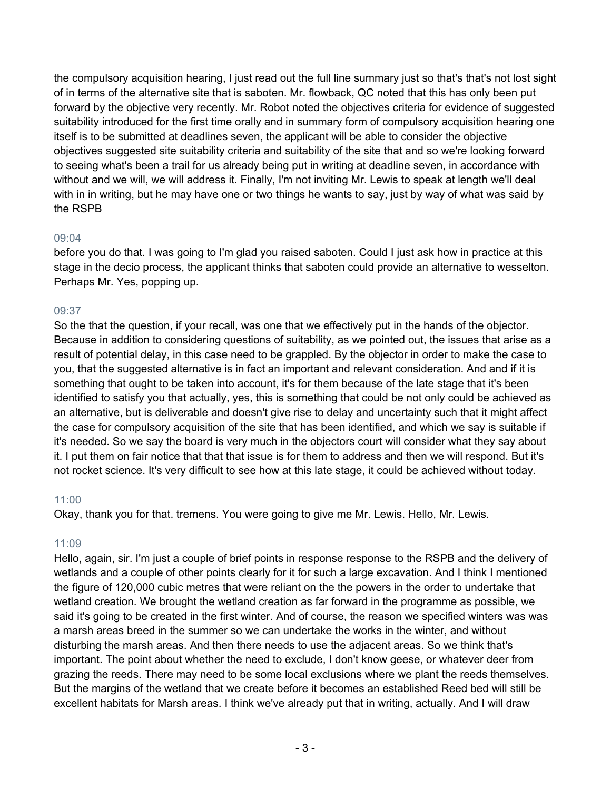the compulsory acquisition hearing, I just read out the full line summary just so that's that's not lost sight of in terms of the alternative site that is saboten. Mr. flowback, QC noted that this has only been put forward by the objective very recently. Mr. Robot noted the objectives criteria for evidence of suggested suitability introduced for the first time orally and in summary form of compulsory acquisition hearing one itself is to be submitted at deadlines seven, the applicant will be able to consider the objective objectives suggested site suitability criteria and suitability of the site that and so we're looking forward to seeing what's been a trail for us already being put in writing at deadline seven, in accordance with without and we will, we will address it. Finally, I'm not inviting Mr. Lewis to speak at length we'll deal with in in writing, but he may have one or two things he wants to say, just by way of what was said by the RSPB

# 09:04

before you do that. I was going to I'm glad you raised saboten. Could I just ask how in practice at this stage in the decio process, the applicant thinks that saboten could provide an alternative to wesselton. Perhaps Mr. Yes, popping up.

# 09:37

So the that the question, if your recall, was one that we effectively put in the hands of the objector. Because in addition to considering questions of suitability, as we pointed out, the issues that arise as a result of potential delay, in this case need to be grappled. By the objector in order to make the case to you, that the suggested alternative is in fact an important and relevant consideration. And and if it is something that ought to be taken into account, it's for them because of the late stage that it's been identified to satisfy you that actually, yes, this is something that could be not only could be achieved as an alternative, but is deliverable and doesn't give rise to delay and uncertainty such that it might affect the case for compulsory acquisition of the site that has been identified, and which we say is suitable if it's needed. So we say the board is very much in the objectors court will consider what they say about it. I put them on fair notice that that that issue is for them to address and then we will respond. But it's not rocket science. It's very difficult to see how at this late stage, it could be achieved without today.

# 11:00

Okay, thank you for that. tremens. You were going to give me Mr. Lewis. Hello, Mr. Lewis.

# 11:09

Hello, again, sir. I'm just a couple of brief points in response response to the RSPB and the delivery of wetlands and a couple of other points clearly for it for such a large excavation. And I think I mentioned the figure of 120,000 cubic metres that were reliant on the the powers in the order to undertake that wetland creation. We brought the wetland creation as far forward in the programme as possible, we said it's going to be created in the first winter. And of course, the reason we specified winters was was a marsh areas breed in the summer so we can undertake the works in the winter, and without disturbing the marsh areas. And then there needs to use the adjacent areas. So we think that's important. The point about whether the need to exclude, I don't know geese, or whatever deer from grazing the reeds. There may need to be some local exclusions where we plant the reeds themselves. But the margins of the wetland that we create before it becomes an established Reed bed will still be excellent habitats for Marsh areas. I think we've already put that in writing, actually. And I will draw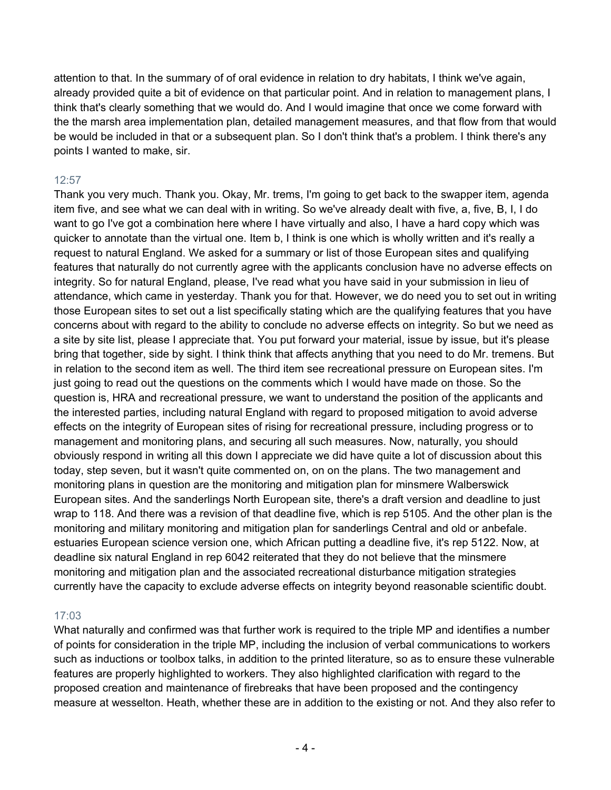attention to that. In the summary of of oral evidence in relation to dry habitats, I think we've again, already provided quite a bit of evidence on that particular point. And in relation to management plans, I think that's clearly something that we would do. And I would imagine that once we come forward with the the marsh area implementation plan, detailed management measures, and that flow from that would be would be included in that or a subsequent plan. So I don't think that's a problem. I think there's any points I wanted to make, sir.

# 12:57

Thank you very much. Thank you. Okay, Mr. trems, I'm going to get back to the swapper item, agenda item five, and see what we can deal with in writing. So we've already dealt with five, a, five, B, I, I do want to go I've got a combination here where I have virtually and also, I have a hard copy which was quicker to annotate than the virtual one. Item b, I think is one which is wholly written and it's really a request to natural England. We asked for a summary or list of those European sites and qualifying features that naturally do not currently agree with the applicants conclusion have no adverse effects on integrity. So for natural England, please, I've read what you have said in your submission in lieu of attendance, which came in yesterday. Thank you for that. However, we do need you to set out in writing those European sites to set out a list specifically stating which are the qualifying features that you have concerns about with regard to the ability to conclude no adverse effects on integrity. So but we need as a site by site list, please I appreciate that. You put forward your material, issue by issue, but it's please bring that together, side by sight. I think think that affects anything that you need to do Mr. tremens. But in relation to the second item as well. The third item see recreational pressure on European sites. I'm just going to read out the questions on the comments which I would have made on those. So the question is, HRA and recreational pressure, we want to understand the position of the applicants and the interested parties, including natural England with regard to proposed mitigation to avoid adverse effects on the integrity of European sites of rising for recreational pressure, including progress or to management and monitoring plans, and securing all such measures. Now, naturally, you should obviously respond in writing all this down I appreciate we did have quite a lot of discussion about this today, step seven, but it wasn't quite commented on, on on the plans. The two management and monitoring plans in question are the monitoring and mitigation plan for minsmere Walberswick European sites. And the sanderlings North European site, there's a draft version and deadline to just wrap to 118. And there was a revision of that deadline five, which is rep 5105. And the other plan is the monitoring and military monitoring and mitigation plan for sanderlings Central and old or anbefale. estuaries European science version one, which African putting a deadline five, it's rep 5122. Now, at deadline six natural England in rep 6042 reiterated that they do not believe that the minsmere monitoring and mitigation plan and the associated recreational disturbance mitigation strategies currently have the capacity to exclude adverse effects on integrity beyond reasonable scientific doubt.

# 17:03

What naturally and confirmed was that further work is required to the triple MP and identifies a number of points for consideration in the triple MP, including the inclusion of verbal communications to workers such as inductions or toolbox talks, in addition to the printed literature, so as to ensure these vulnerable features are properly highlighted to workers. They also highlighted clarification with regard to the proposed creation and maintenance of firebreaks that have been proposed and the contingency measure at wesselton. Heath, whether these are in addition to the existing or not. And they also refer to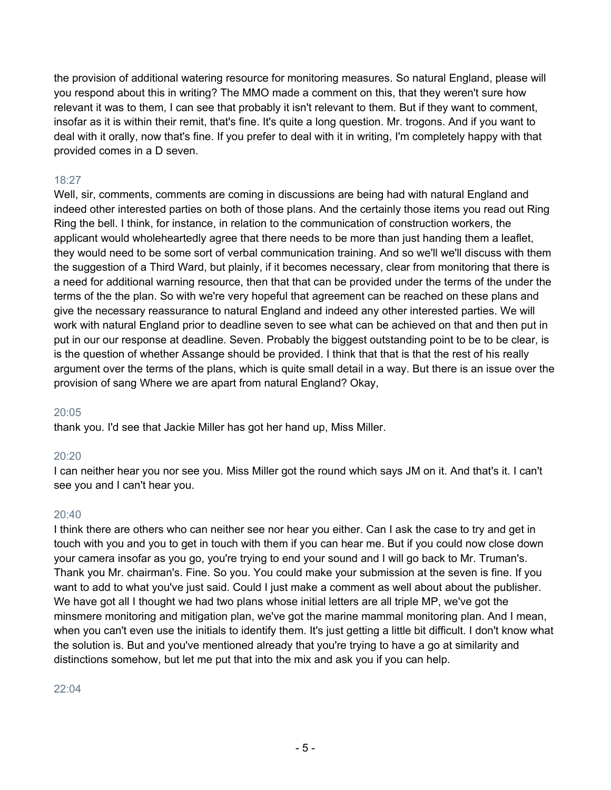the provision of additional watering resource for monitoring measures. So natural England, please will you respond about this in writing? The MMO made a comment on this, that they weren't sure how relevant it was to them, I can see that probably it isn't relevant to them. But if they want to comment, insofar as it is within their remit, that's fine. It's quite a long question. Mr. trogons. And if you want to deal with it orally, now that's fine. If you prefer to deal with it in writing, I'm completely happy with that provided comes in a D seven.

# 18:27

Well, sir, comments, comments are coming in discussions are being had with natural England and indeed other interested parties on both of those plans. And the certainly those items you read out Ring Ring the bell. I think, for instance, in relation to the communication of construction workers, the applicant would wholeheartedly agree that there needs to be more than just handing them a leaflet, they would need to be some sort of verbal communication training. And so we'll we'll discuss with them the suggestion of a Third Ward, but plainly, if it becomes necessary, clear from monitoring that there is a need for additional warning resource, then that that can be provided under the terms of the under the terms of the the plan. So with we're very hopeful that agreement can be reached on these plans and give the necessary reassurance to natural England and indeed any other interested parties. We will work with natural England prior to deadline seven to see what can be achieved on that and then put in put in our our response at deadline. Seven. Probably the biggest outstanding point to be to be clear, is is the question of whether Assange should be provided. I think that that is that the rest of his really argument over the terms of the plans, which is quite small detail in a way. But there is an issue over the provision of sang Where we are apart from natural England? Okay,

# 20:05

thank you. I'd see that Jackie Miller has got her hand up, Miss Miller.

# 20:20

I can neither hear you nor see you. Miss Miller got the round which says JM on it. And that's it. I can't see you and I can't hear you.

# 20:40

I think there are others who can neither see nor hear you either. Can I ask the case to try and get in touch with you and you to get in touch with them if you can hear me. But if you could now close down your camera insofar as you go, you're trying to end your sound and I will go back to Mr. Truman's. Thank you Mr. chairman's. Fine. So you. You could make your submission at the seven is fine. If you want to add to what you've just said. Could I just make a comment as well about about the publisher. We have got all I thought we had two plans whose initial letters are all triple MP, we've got the minsmere monitoring and mitigation plan, we've got the marine mammal monitoring plan. And I mean, when you can't even use the initials to identify them. It's just getting a little bit difficult. I don't know what the solution is. But and you've mentioned already that you're trying to have a go at similarity and distinctions somehow, but let me put that into the mix and ask you if you can help.

# 22:04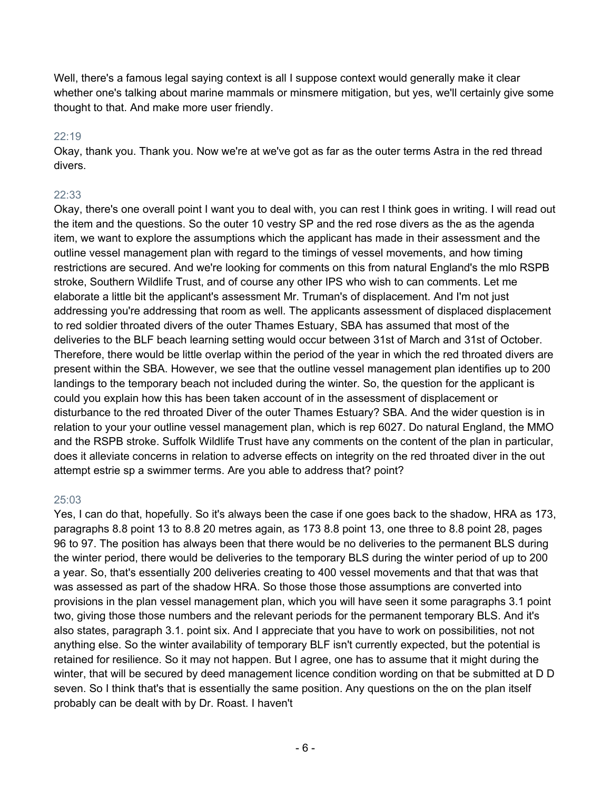Well, there's a famous legal saying context is all I suppose context would generally make it clear whether one's talking about marine mammals or minsmere mitigation, but yes, we'll certainly give some thought to that. And make more user friendly.

# 22:19

Okay, thank you. Thank you. Now we're at we've got as far as the outer terms Astra in the red thread divers.

# 22:33

Okay, there's one overall point I want you to deal with, you can rest I think goes in writing. I will read out the item and the questions. So the outer 10 vestry SP and the red rose divers as the as the agenda item, we want to explore the assumptions which the applicant has made in their assessment and the outline vessel management plan with regard to the timings of vessel movements, and how timing restrictions are secured. And we're looking for comments on this from natural England's the mlo RSPB stroke, Southern Wildlife Trust, and of course any other IPS who wish to can comments. Let me elaborate a little bit the applicant's assessment Mr. Truman's of displacement. And I'm not just addressing you're addressing that room as well. The applicants assessment of displaced displacement to red soldier throated divers of the outer Thames Estuary, SBA has assumed that most of the deliveries to the BLF beach learning setting would occur between 31st of March and 31st of October. Therefore, there would be little overlap within the period of the year in which the red throated divers are present within the SBA. However, we see that the outline vessel management plan identifies up to 200 landings to the temporary beach not included during the winter. So, the question for the applicant is could you explain how this has been taken account of in the assessment of displacement or disturbance to the red throated Diver of the outer Thames Estuary? SBA. And the wider question is in relation to your your outline vessel management plan, which is rep 6027. Do natural England, the MMO and the RSPB stroke. Suffolk Wildlife Trust have any comments on the content of the plan in particular, does it alleviate concerns in relation to adverse effects on integrity on the red throated diver in the out attempt estrie sp a swimmer terms. Are you able to address that? point?

# 25:03

Yes, I can do that, hopefully. So it's always been the case if one goes back to the shadow, HRA as 173, paragraphs 8.8 point 13 to 8.8 20 metres again, as 173 8.8 point 13, one three to 8.8 point 28, pages 96 to 97. The position has always been that there would be no deliveries to the permanent BLS during the winter period, there would be deliveries to the temporary BLS during the winter period of up to 200 a year. So, that's essentially 200 deliveries creating to 400 vessel movements and that that was that was assessed as part of the shadow HRA. So those those those assumptions are converted into provisions in the plan vessel management plan, which you will have seen it some paragraphs 3.1 point two, giving those those numbers and the relevant periods for the permanent temporary BLS. And it's also states, paragraph 3.1. point six. And I appreciate that you have to work on possibilities, not not anything else. So the winter availability of temporary BLF isn't currently expected, but the potential is retained for resilience. So it may not happen. But I agree, one has to assume that it might during the winter, that will be secured by deed management licence condition wording on that be submitted at D D seven. So I think that's that is essentially the same position. Any questions on the on the plan itself probably can be dealt with by Dr. Roast. I haven't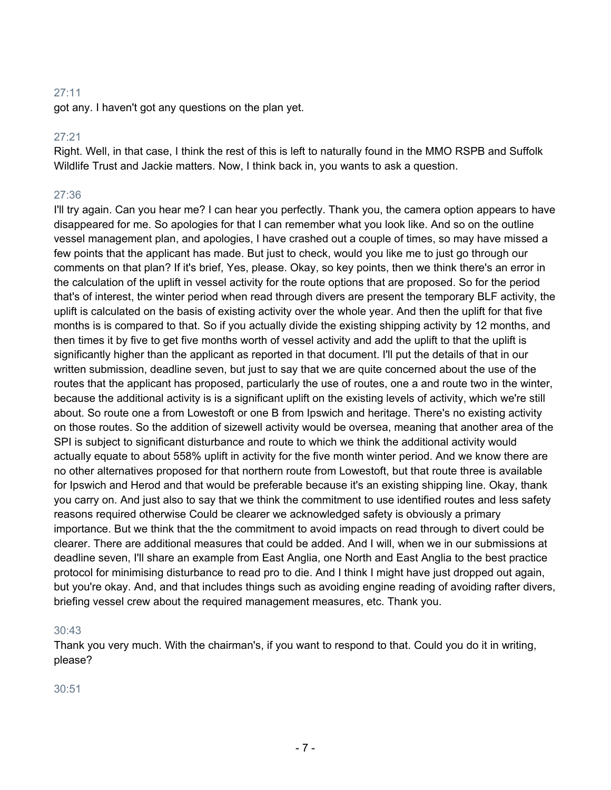got any. I haven't got any questions on the plan yet.

#### 27:21

Right. Well, in that case, I think the rest of this is left to naturally found in the MMO RSPB and Suffolk Wildlife Trust and Jackie matters. Now, I think back in, you wants to ask a question.

# 27:36

I'll try again. Can you hear me? I can hear you perfectly. Thank you, the camera option appears to have disappeared for me. So apologies for that I can remember what you look like. And so on the outline vessel management plan, and apologies, I have crashed out a couple of times, so may have missed a few points that the applicant has made. But just to check, would you like me to just go through our comments on that plan? If it's brief, Yes, please. Okay, so key points, then we think there's an error in the calculation of the uplift in vessel activity for the route options that are proposed. So for the period that's of interest, the winter period when read through divers are present the temporary BLF activity, the uplift is calculated on the basis of existing activity over the whole year. And then the uplift for that five months is is compared to that. So if you actually divide the existing shipping activity by 12 months, and then times it by five to get five months worth of vessel activity and add the uplift to that the uplift is significantly higher than the applicant as reported in that document. I'll put the details of that in our written submission, deadline seven, but just to say that we are quite concerned about the use of the routes that the applicant has proposed, particularly the use of routes, one a and route two in the winter, because the additional activity is is a significant uplift on the existing levels of activity, which we're still about. So route one a from Lowestoft or one B from Ipswich and heritage. There's no existing activity on those routes. So the addition of sizewell activity would be oversea, meaning that another area of the SPI is subject to significant disturbance and route to which we think the additional activity would actually equate to about 558% uplift in activity for the five month winter period. And we know there are no other alternatives proposed for that northern route from Lowestoft, but that route three is available for Ipswich and Herod and that would be preferable because it's an existing shipping line. Okay, thank you carry on. And just also to say that we think the commitment to use identified routes and less safety reasons required otherwise Could be clearer we acknowledged safety is obviously a primary importance. But we think that the the commitment to avoid impacts on read through to divert could be clearer. There are additional measures that could be added. And I will, when we in our submissions at deadline seven, I'll share an example from East Anglia, one North and East Anglia to the best practice protocol for minimising disturbance to read pro to die. And I think I might have just dropped out again, but you're okay. And, and that includes things such as avoiding engine reading of avoiding rafter divers, briefing vessel crew about the required management measures, etc. Thank you.

# 30:43

Thank you very much. With the chairman's, if you want to respond to that. Could you do it in writing, please?

30:51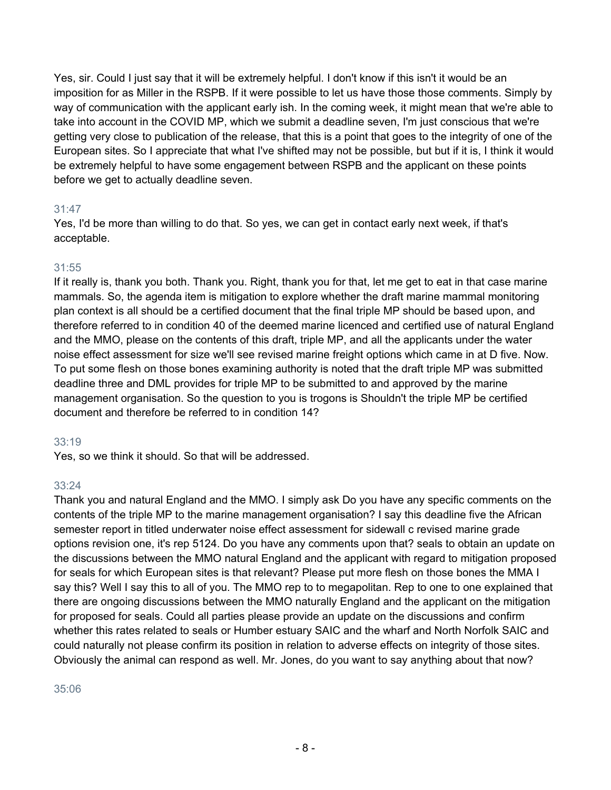Yes, sir. Could I just say that it will be extremely helpful. I don't know if this isn't it would be an imposition for as Miller in the RSPB. If it were possible to let us have those those comments. Simply by way of communication with the applicant early ish. In the coming week, it might mean that we're able to take into account in the COVID MP, which we submit a deadline seven, I'm just conscious that we're getting very close to publication of the release, that this is a point that goes to the integrity of one of the European sites. So I appreciate that what I've shifted may not be possible, but but if it is, I think it would be extremely helpful to have some engagement between RSPB and the applicant on these points before we get to actually deadline seven.

# 31:47

Yes, I'd be more than willing to do that. So yes, we can get in contact early next week, if that's acceptable.

# 31:55

If it really is, thank you both. Thank you. Right, thank you for that, let me get to eat in that case marine mammals. So, the agenda item is mitigation to explore whether the draft marine mammal monitoring plan context is all should be a certified document that the final triple MP should be based upon, and therefore referred to in condition 40 of the deemed marine licenced and certified use of natural England and the MMO, please on the contents of this draft, triple MP, and all the applicants under the water noise effect assessment for size we'll see revised marine freight options which came in at D five. Now. To put some flesh on those bones examining authority is noted that the draft triple MP was submitted deadline three and DML provides for triple MP to be submitted to and approved by the marine management organisation. So the question to you is trogons is Shouldn't the triple MP be certified document and therefore be referred to in condition 14?

# 33:19

Yes, so we think it should. So that will be addressed.

# 33:24

Thank you and natural England and the MMO. I simply ask Do you have any specific comments on the contents of the triple MP to the marine management organisation? I say this deadline five the African semester report in titled underwater noise effect assessment for sidewall c revised marine grade options revision one, it's rep 5124. Do you have any comments upon that? seals to obtain an update on the discussions between the MMO natural England and the applicant with regard to mitigation proposed for seals for which European sites is that relevant? Please put more flesh on those bones the MMA I say this? Well I say this to all of you. The MMO rep to to megapolitan. Rep to one to one explained that there are ongoing discussions between the MMO naturally England and the applicant on the mitigation for proposed for seals. Could all parties please provide an update on the discussions and confirm whether this rates related to seals or Humber estuary SAIC and the wharf and North Norfolk SAIC and could naturally not please confirm its position in relation to adverse effects on integrity of those sites. Obviously the animal can respond as well. Mr. Jones, do you want to say anything about that now?

# 35:06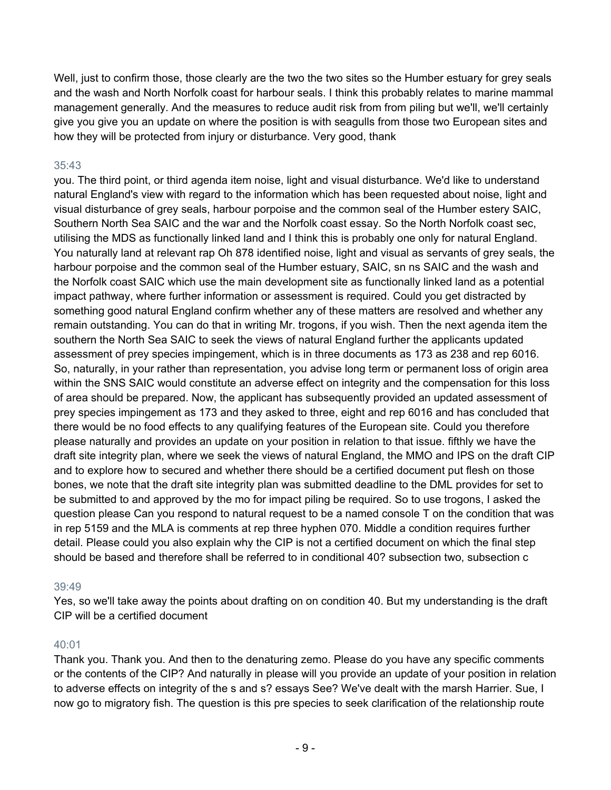Well, just to confirm those, those clearly are the two the two sites so the Humber estuary for grey seals and the wash and North Norfolk coast for harbour seals. I think this probably relates to marine mammal management generally. And the measures to reduce audit risk from from piling but we'll, we'll certainly give you give you an update on where the position is with seagulls from those two European sites and how they will be protected from injury or disturbance. Very good, thank

# 35:43

you. The third point, or third agenda item noise, light and visual disturbance. We'd like to understand natural England's view with regard to the information which has been requested about noise, light and visual disturbance of grey seals, harbour porpoise and the common seal of the Humber estery SAIC, Southern North Sea SAIC and the war and the Norfolk coast essay. So the North Norfolk coast sec, utilising the MDS as functionally linked land and I think this is probably one only for natural England. You naturally land at relevant rap Oh 878 identified noise, light and visual as servants of grey seals, the harbour porpoise and the common seal of the Humber estuary, SAIC, sn ns SAIC and the wash and the Norfolk coast SAIC which use the main development site as functionally linked land as a potential impact pathway, where further information or assessment is required. Could you get distracted by something good natural England confirm whether any of these matters are resolved and whether any remain outstanding. You can do that in writing Mr. trogons, if you wish. Then the next agenda item the southern the North Sea SAIC to seek the views of natural England further the applicants updated assessment of prey species impingement, which is in three documents as 173 as 238 and rep 6016. So, naturally, in your rather than representation, you advise long term or permanent loss of origin area within the SNS SAIC would constitute an adverse effect on integrity and the compensation for this loss of area should be prepared. Now, the applicant has subsequently provided an updated assessment of prey species impingement as 173 and they asked to three, eight and rep 6016 and has concluded that there would be no food effects to any qualifying features of the European site. Could you therefore please naturally and provides an update on your position in relation to that issue. fifthly we have the draft site integrity plan, where we seek the views of natural England, the MMO and IPS on the draft CIP and to explore how to secured and whether there should be a certified document put flesh on those bones, we note that the draft site integrity plan was submitted deadline to the DML provides for set to be submitted to and approved by the mo for impact piling be required. So to use trogons, I asked the question please Can you respond to natural request to be a named console T on the condition that was in rep 5159 and the MLA is comments at rep three hyphen 070. Middle a condition requires further detail. Please could you also explain why the CIP is not a certified document on which the final step should be based and therefore shall be referred to in conditional 40? subsection two, subsection c

# 39:49

Yes, so we'll take away the points about drafting on on condition 40. But my understanding is the draft CIP will be a certified document

# 40:01

Thank you. Thank you. And then to the denaturing zemo. Please do you have any specific comments or the contents of the CIP? And naturally in please will you provide an update of your position in relation to adverse effects on integrity of the s and s? essays See? We've dealt with the marsh Harrier. Sue, I now go to migratory fish. The question is this pre species to seek clarification of the relationship route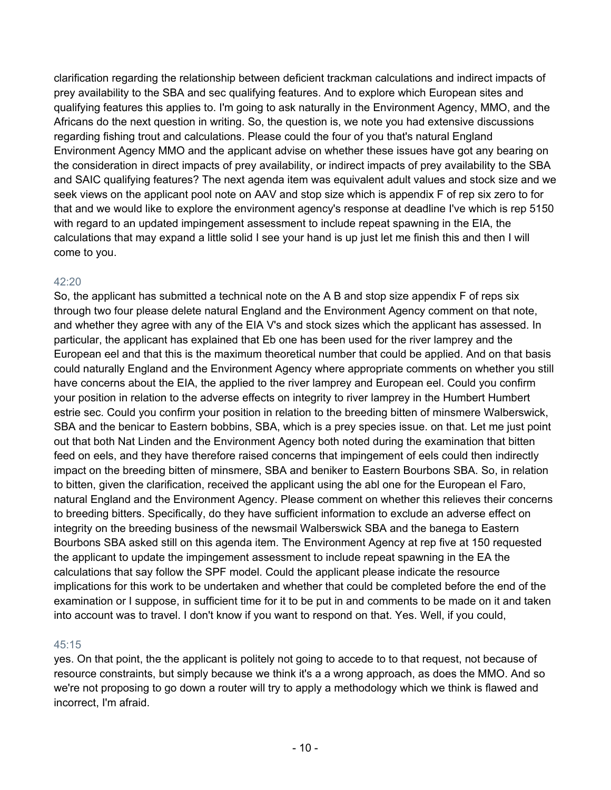clarification regarding the relationship between deficient trackman calculations and indirect impacts of prey availability to the SBA and sec qualifying features. And to explore which European sites and qualifying features this applies to. I'm going to ask naturally in the Environment Agency, MMO, and the Africans do the next question in writing. So, the question is, we note you had extensive discussions regarding fishing trout and calculations. Please could the four of you that's natural England Environment Agency MMO and the applicant advise on whether these issues have got any bearing on the consideration in direct impacts of prey availability, or indirect impacts of prey availability to the SBA and SAIC qualifying features? The next agenda item was equivalent adult values and stock size and we seek views on the applicant pool note on AAV and stop size which is appendix F of rep six zero to for that and we would like to explore the environment agency's response at deadline I've which is rep 5150 with regard to an updated impingement assessment to include repeat spawning in the EIA, the calculations that may expand a little solid I see your hand is up just let me finish this and then I will come to you.

# 42:20

So, the applicant has submitted a technical note on the A B and stop size appendix F of reps six through two four please delete natural England and the Environment Agency comment on that note, and whether they agree with any of the EIA V's and stock sizes which the applicant has assessed. In particular, the applicant has explained that Eb one has been used for the river lamprey and the European eel and that this is the maximum theoretical number that could be applied. And on that basis could naturally England and the Environment Agency where appropriate comments on whether you still have concerns about the EIA, the applied to the river lamprey and European eel. Could you confirm your position in relation to the adverse effects on integrity to river lamprey in the Humbert Humbert estrie sec. Could you confirm your position in relation to the breeding bitten of minsmere Walberswick, SBA and the benicar to Eastern bobbins, SBA, which is a prey species issue. on that. Let me just point out that both Nat Linden and the Environment Agency both noted during the examination that bitten feed on eels, and they have therefore raised concerns that impingement of eels could then indirectly impact on the breeding bitten of minsmere, SBA and beniker to Eastern Bourbons SBA. So, in relation to bitten, given the clarification, received the applicant using the abl one for the European el Faro, natural England and the Environment Agency. Please comment on whether this relieves their concerns to breeding bitters. Specifically, do they have sufficient information to exclude an adverse effect on integrity on the breeding business of the newsmail Walberswick SBA and the banega to Eastern Bourbons SBA asked still on this agenda item. The Environment Agency at rep five at 150 requested the applicant to update the impingement assessment to include repeat spawning in the EA the calculations that say follow the SPF model. Could the applicant please indicate the resource implications for this work to be undertaken and whether that could be completed before the end of the examination or I suppose, in sufficient time for it to be put in and comments to be made on it and taken into account was to travel. I don't know if you want to respond on that. Yes. Well, if you could,

# 45:15

yes. On that point, the the applicant is politely not going to accede to to that request, not because of resource constraints, but simply because we think it's a a wrong approach, as does the MMO. And so we're not proposing to go down a router will try to apply a methodology which we think is flawed and incorrect, I'm afraid.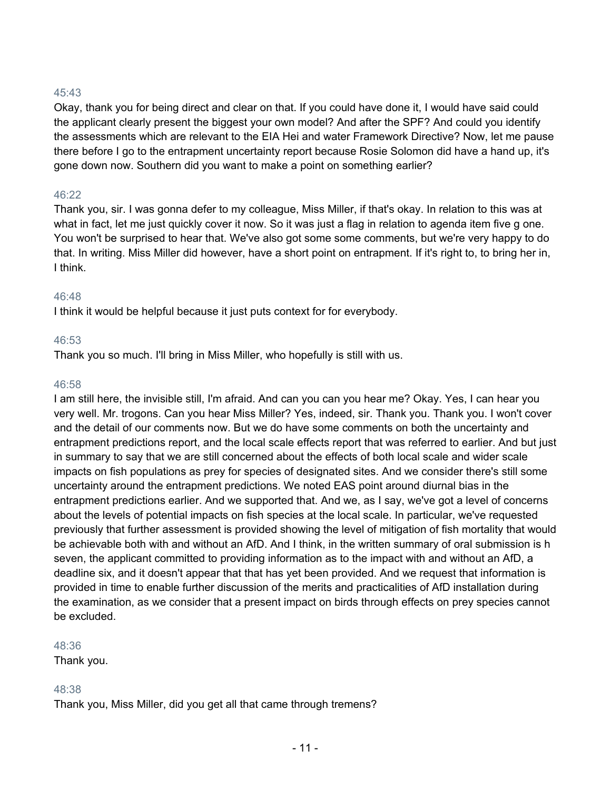Okay, thank you for being direct and clear on that. If you could have done it, I would have said could the applicant clearly present the biggest your own model? And after the SPF? And could you identify the assessments which are relevant to the EIA Hei and water Framework Directive? Now, let me pause there before I go to the entrapment uncertainty report because Rosie Solomon did have a hand up, it's gone down now. Southern did you want to make a point on something earlier?

# 46:22

Thank you, sir. I was gonna defer to my colleague, Miss Miller, if that's okay. In relation to this was at what in fact, let me just quickly cover it now. So it was just a flag in relation to agenda item five g one. You won't be surprised to hear that. We've also got some some comments, but we're very happy to do that. In writing. Miss Miller did however, have a short point on entrapment. If it's right to, to bring her in, I think.

# 46:48

I think it would be helpful because it just puts context for for everybody.

# 46:53

Thank you so much. I'll bring in Miss Miller, who hopefully is still with us.

# 46:58

I am still here, the invisible still, I'm afraid. And can you can you hear me? Okay. Yes, I can hear you very well. Mr. trogons. Can you hear Miss Miller? Yes, indeed, sir. Thank you. Thank you. I won't cover and the detail of our comments now. But we do have some comments on both the uncertainty and entrapment predictions report, and the local scale effects report that was referred to earlier. And but just in summary to say that we are still concerned about the effects of both local scale and wider scale impacts on fish populations as prey for species of designated sites. And we consider there's still some uncertainty around the entrapment predictions. We noted EAS point around diurnal bias in the entrapment predictions earlier. And we supported that. And we, as I say, we've got a level of concerns about the levels of potential impacts on fish species at the local scale. In particular, we've requested previously that further assessment is provided showing the level of mitigation of fish mortality that would be achievable both with and without an AfD. And I think, in the written summary of oral submission is h seven, the applicant committed to providing information as to the impact with and without an AfD, a deadline six, and it doesn't appear that that has yet been provided. And we request that information is provided in time to enable further discussion of the merits and practicalities of AfD installation during the examination, as we consider that a present impact on birds through effects on prey species cannot be excluded.

# 48:36

Thank you.

# 48:38

Thank you, Miss Miller, did you get all that came through tremens?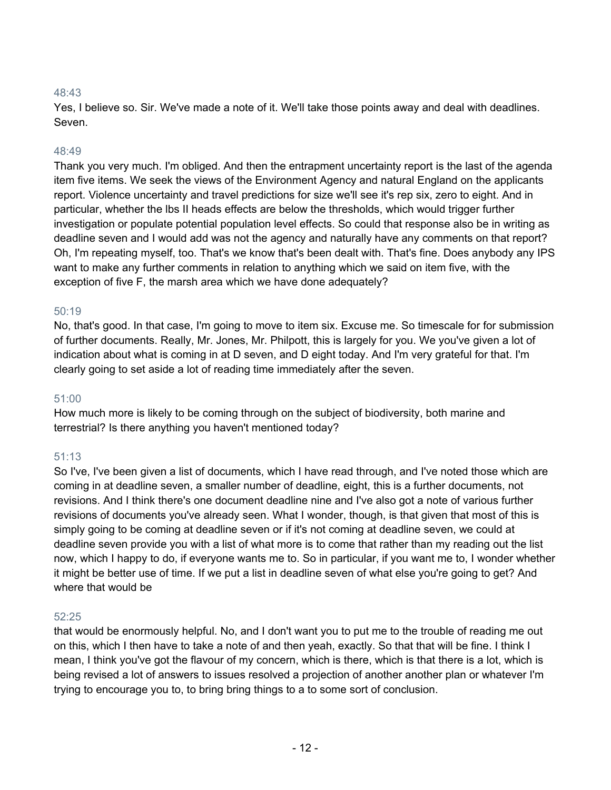Yes, I believe so. Sir. We've made a note of it. We'll take those points away and deal with deadlines. Seven.

#### 48:49

Thank you very much. I'm obliged. And then the entrapment uncertainty report is the last of the agenda item five items. We seek the views of the Environment Agency and natural England on the applicants report. Violence uncertainty and travel predictions for size we'll see it's rep six, zero to eight. And in particular, whether the lbs II heads effects are below the thresholds, which would trigger further investigation or populate potential population level effects. So could that response also be in writing as deadline seven and I would add was not the agency and naturally have any comments on that report? Oh, I'm repeating myself, too. That's we know that's been dealt with. That's fine. Does anybody any IPS want to make any further comments in relation to anything which we said on item five, with the exception of five F, the marsh area which we have done adequately?

#### 50:19

No, that's good. In that case, I'm going to move to item six. Excuse me. So timescale for for submission of further documents. Really, Mr. Jones, Mr. Philpott, this is largely for you. We you've given a lot of indication about what is coming in at D seven, and D eight today. And I'm very grateful for that. I'm clearly going to set aside a lot of reading time immediately after the seven.

#### 51:00

How much more is likely to be coming through on the subject of biodiversity, both marine and terrestrial? Is there anything you haven't mentioned today?

# 51:13

So I've, I've been given a list of documents, which I have read through, and I've noted those which are coming in at deadline seven, a smaller number of deadline, eight, this is a further documents, not revisions. And I think there's one document deadline nine and I've also got a note of various further revisions of documents you've already seen. What I wonder, though, is that given that most of this is simply going to be coming at deadline seven or if it's not coming at deadline seven, we could at deadline seven provide you with a list of what more is to come that rather than my reading out the list now, which I happy to do, if everyone wants me to. So in particular, if you want me to, I wonder whether it might be better use of time. If we put a list in deadline seven of what else you're going to get? And where that would be

#### 52:25

that would be enormously helpful. No, and I don't want you to put me to the trouble of reading me out on this, which I then have to take a note of and then yeah, exactly. So that that will be fine. I think I mean, I think you've got the flavour of my concern, which is there, which is that there is a lot, which is being revised a lot of answers to issues resolved a projection of another another plan or whatever I'm trying to encourage you to, to bring bring things to a to some sort of conclusion.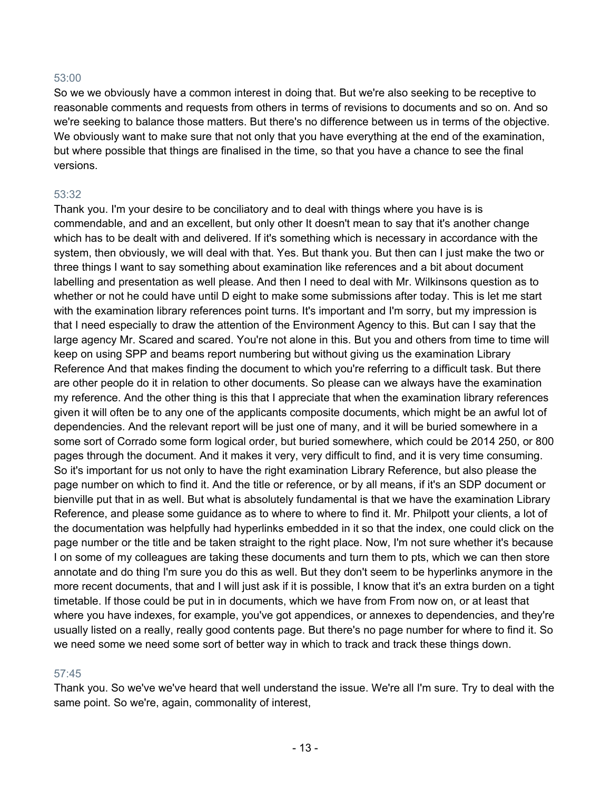So we we obviously have a common interest in doing that. But we're also seeking to be receptive to reasonable comments and requests from others in terms of revisions to documents and so on. And so we're seeking to balance those matters. But there's no difference between us in terms of the objective. We obviously want to make sure that not only that you have everything at the end of the examination, but where possible that things are finalised in the time, so that you have a chance to see the final versions.

#### 53:32

Thank you. I'm your desire to be conciliatory and to deal with things where you have is is commendable, and and an excellent, but only other It doesn't mean to say that it's another change which has to be dealt with and delivered. If it's something which is necessary in accordance with the system, then obviously, we will deal with that. Yes. But thank you. But then can I just make the two or three things I want to say something about examination like references and a bit about document labelling and presentation as well please. And then I need to deal with Mr. Wilkinsons question as to whether or not he could have until D eight to make some submissions after today. This is let me start with the examination library references point turns. It's important and I'm sorry, but my impression is that I need especially to draw the attention of the Environment Agency to this. But can I say that the large agency Mr. Scared and scared. You're not alone in this. But you and others from time to time will keep on using SPP and beams report numbering but without giving us the examination Library Reference And that makes finding the document to which you're referring to a difficult task. But there are other people do it in relation to other documents. So please can we always have the examination my reference. And the other thing is this that I appreciate that when the examination library references given it will often be to any one of the applicants composite documents, which might be an awful lot of dependencies. And the relevant report will be just one of many, and it will be buried somewhere in a some sort of Corrado some form logical order, but buried somewhere, which could be 2014 250, or 800 pages through the document. And it makes it very, very difficult to find, and it is very time consuming. So it's important for us not only to have the right examination Library Reference, but also please the page number on which to find it. And the title or reference, or by all means, if it's an SDP document or bienville put that in as well. But what is absolutely fundamental is that we have the examination Library Reference, and please some guidance as to where to where to find it. Mr. Philpott your clients, a lot of the documentation was helpfully had hyperlinks embedded in it so that the index, one could click on the page number or the title and be taken straight to the right place. Now, I'm not sure whether it's because I on some of my colleagues are taking these documents and turn them to pts, which we can then store annotate and do thing I'm sure you do this as well. But they don't seem to be hyperlinks anymore in the more recent documents, that and I will just ask if it is possible, I know that it's an extra burden on a tight timetable. If those could be put in in documents, which we have from From now on, or at least that where you have indexes, for example, you've got appendices, or annexes to dependencies, and they're usually listed on a really, really good contents page. But there's no page number for where to find it. So we need some we need some sort of better way in which to track and track these things down.

# 57:45

Thank you. So we've we've heard that well understand the issue. We're all I'm sure. Try to deal with the same point. So we're, again, commonality of interest,